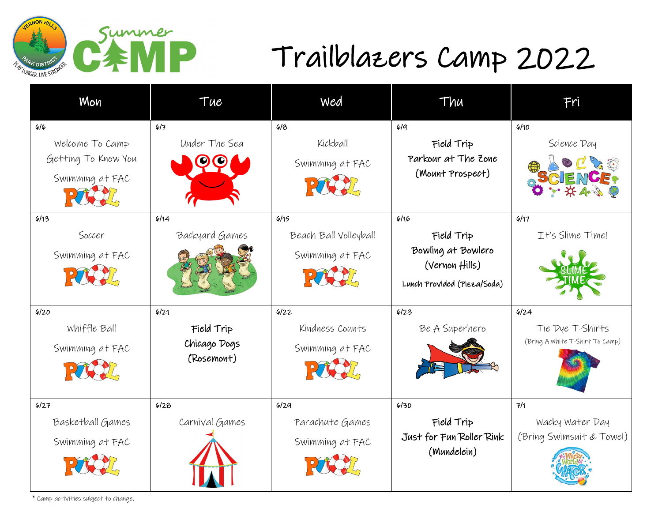

## Trailblazers Camp 2022

| Mon                                                              | Tue                                              | Wed                                              | Thu                                                                                              | Fri                                                         |
|------------------------------------------------------------------|--------------------------------------------------|--------------------------------------------------|--------------------------------------------------------------------------------------------------|-------------------------------------------------------------|
| 6/6<br>Welcome To Camp<br>Getting To Know You<br>Swimming at FAC | 6/7<br>Under The Sea                             | 618<br>Kickball<br>Swimming at FAC               | 6/9<br>Field Trip<br>Parkour at The Zone<br>(Mount Prospect)                                     | 6/10<br>Science Day                                         |
| 6/13<br>Soccer<br>Swimming at FAC                                | 6/14<br>Backyard Games                           | 6/15<br>Beach Ball Volleyball<br>Swimming at FAC | 6/16<br>Field Trip<br>Bowling at Bowlero<br>$(Vernon + \nexists)$<br>Lunch Provided (Pizza/Soda) | 6/17<br>It's Slime Time!                                    |
| 6/20<br>Whiffle Ball<br>Swimming at FAC                          | 6/21<br>Field Trip<br>Chicago Dogs<br>(Rosemont) | 6122<br>Kindness Counts<br>Swimming at FAC       | 6/23<br>Be A Superhero                                                                           | 6/24<br>Tie Dye T-Shirts<br>(Bring A White T-Shirt To Camp) |
| 6/27<br>Basketball Games<br>Swimming at FAC                      | 6/28<br>Carnival Games                           | 6/29<br>Parachute Games<br>Swimming at FAC       | 6/30<br>Field Trip<br>Just for Fun Roller Rink<br>(Mundelein)                                    | 7/1<br>Wacky Water Day<br>(Bring Swimsuit & Towel)          |

\* Camp activities subject to change.